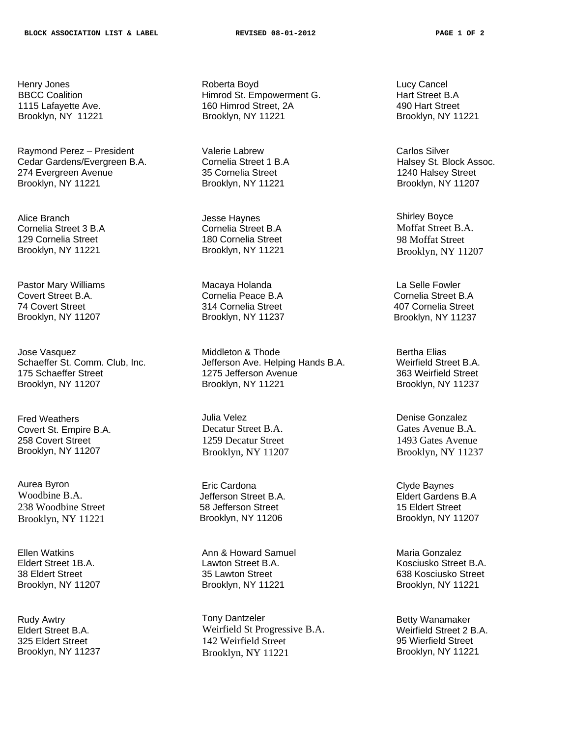Henry Jones BBCC Coalition 1115 Lafayette Ave. Brooklyn, NY 11221

Raymond Perez – President Cedar Gardens/Evergreen B.A. 274 Evergreen Avenue Brooklyn, NY 11221

Alice Branch Cornelia Street 3 B.A 129 Cornelia Street Brooklyn, NY 11221

Pastor Mary Williams Covert Street B.A. 74 Covert Street Brooklyn, NY 11207

Jose Vasquez Schaeffer St. Comm. Club, Inc. 175 Schaeffer Street Brooklyn, NY 11207

Fred Weathers Covert St. Empire B.A. 258 Covert Street Brooklyn, NY 11207

Aurea Byron Woodbine B.A. 238 Woodbine Street Brooklyn, NY 11221

Ellen Watkins Eldert Street 1B.A. 38 Eldert Street Brooklyn, NY 11207

Rudy Awtry Eldert Street B.A. 325 Eldert Street Brooklyn, NY 11237 Roberta Boyd Himrod St. Empowerment G. 160 Himrod Street, 2A Brooklyn, NY 11221

Valerie Labrew Cornelia Street 1 B.A 35 Cornelia Street Brooklyn, NY 11221

Jesse Haynes Cornelia Street B.A 180 Cornelia Street Brooklyn, NY 11221

Macaya Holanda Cornelia Peace B.A 314 Cornelia Street Brooklyn, NY 11237

Middleton & Thode Jefferson Ave. Helping Hands B.A. 1275 Jefferson Avenue Brooklyn, NY 11221

Julia Velez Decatur Street B.A. 1259 Decatur Street Brooklyn, NY 11207

Eric Cardona Jefferson Street B.A. 58 Jefferson Street Brooklyn, NY 11206

Ann & Howard Samuel Lawton Street B.A. 35 Lawton Street Brooklyn, NY 11221

Tony Dantzeler Weirfield St Progressive B.A. 142 Weirfield Street Brooklyn, NY 11221

 Lucy Cancel Hart Street B.A 490 Hart Street Brooklyn, NY 11221

 Carlos Silver Halsey St. Block Assoc. 1240 Halsey Street Brooklyn, NY 11207

 Shirley Boyce Moffat Street B.A. 98 Moffat Street Brooklyn, NY 11207

 La Selle Fowler Cornelia Street B.A 407 Cornelia Street Brooklyn, NY 11237

 Bertha Elias Weirfield Street B.A. 363 Weirfield Street Brooklyn, NY 11237

 Denise Gonzalez Gates Avenue B.A. 1493 Gates Avenue Brooklyn, NY 11237

 Clyde Baynes Eldert Gardens B.A 15 Eldert Street Brooklyn, NY 11207

 Maria Gonzalez Kosciusko Street B.A. 638 Kosciusko Street Brooklyn, NY 11221

 Betty Wanamaker Weirfield Street 2 B.A. 95 Wierfield Street Brooklyn, NY 11221